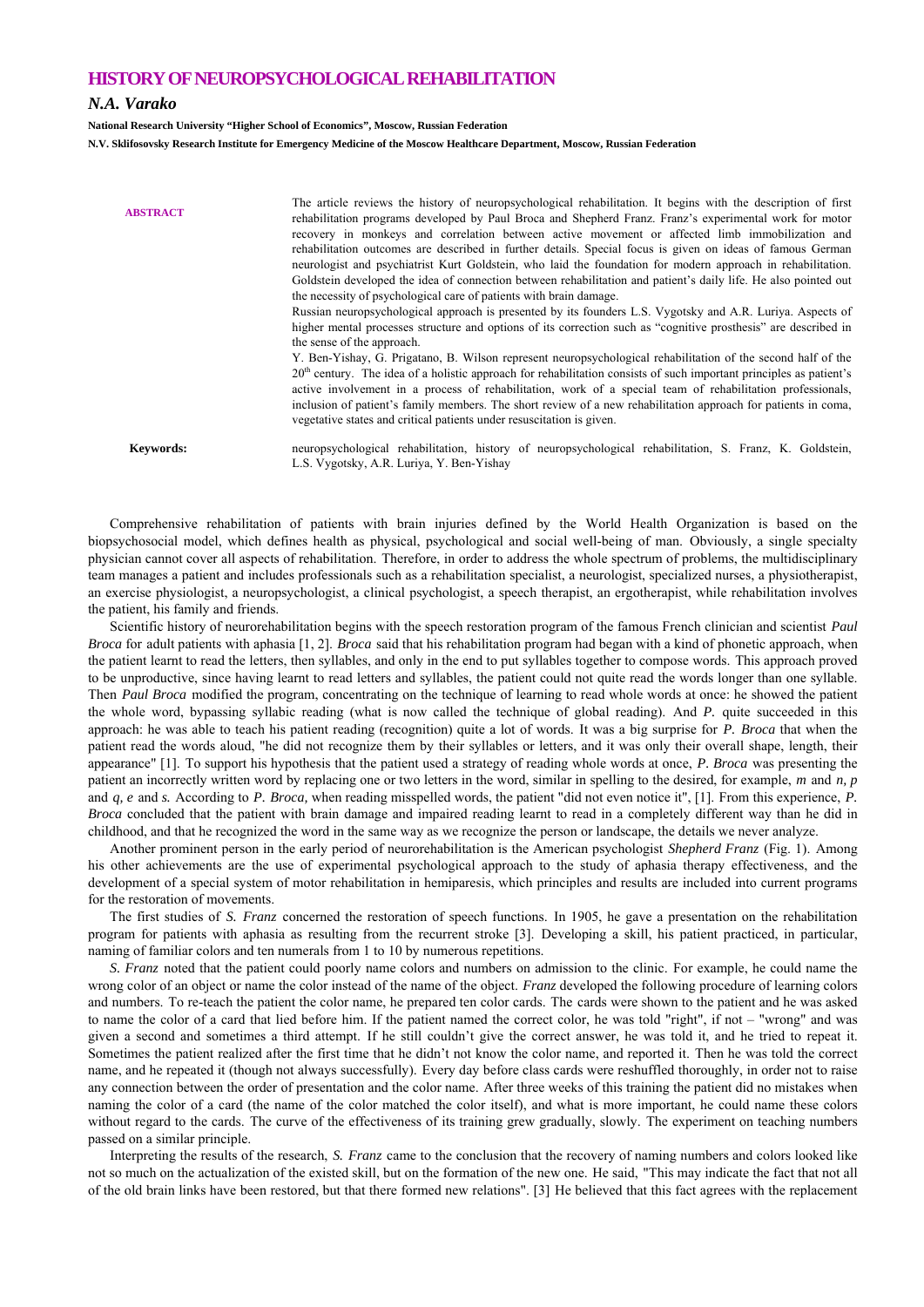## **HISTORY OF NEUROPSYCHOLOGICAL REHABILITATION**

## *N.A. Varako*

**National Research University "Higher School of Economics", Moscow, Russian Federation** 

**N.V. Sklifosovsky Research Institute for Emergency Medicine of the Moscow Healthcare Department, Moscow, Russian Federation** 

| <b>ABSTRACT</b>  | The article reviews the history of neuropsychological rehabilitation. It begins with the description of first<br>rehabilitation programs developed by Paul Broca and Shepherd Franz. Franz's experimental work for motor<br>recovery in monkeys and correlation between active movement or affected limb immobilization and<br>rehabilitation outcomes are described in further details. Special focus is given on ideas of famous German<br>neurologist and psychiatrist Kurt Goldstein, who laid the foundation for modern approach in rehabilitation.<br>Goldstein developed the idea of connection between rehabilitation and patient's daily life. He also pointed out<br>the necessity of psychological care of patients with brain damage.<br>Russian neuropsychological approach is presented by its founders L.S. Vygotsky and A.R. Luriya. Aspects of<br>higher mental processes structure and options of its correction such as "cognitive prosthesis" are described in<br>the sense of the approach.<br>Y. Ben-Yishay, G. Prigatano, B. Wilson represent neuropsychological rehabilitation of the second half of the<br>$20th$ century. The idea of a holistic approach for rehabilitation consists of such important principles as patient's<br>active involvement in a process of rehabilitation, work of a special team of rehabilitation professionals,<br>inclusion of patient's family members. The short review of a new rehabilitation approach for patients in coma,<br>vegetative states and critical patients under resuscitation is given. |
|------------------|--------------------------------------------------------------------------------------------------------------------------------------------------------------------------------------------------------------------------------------------------------------------------------------------------------------------------------------------------------------------------------------------------------------------------------------------------------------------------------------------------------------------------------------------------------------------------------------------------------------------------------------------------------------------------------------------------------------------------------------------------------------------------------------------------------------------------------------------------------------------------------------------------------------------------------------------------------------------------------------------------------------------------------------------------------------------------------------------------------------------------------------------------------------------------------------------------------------------------------------------------------------------------------------------------------------------------------------------------------------------------------------------------------------------------------------------------------------------------------------------------------------------------------------------------------------------|
| <b>Keywords:</b> | neuropsychological rehabilitation, history of neuropsychological rehabilitation, S. Franz, K. Goldstein,<br>L.S. Vygotsky, A.R. Luriya, Y. Ben-Yishay                                                                                                                                                                                                                                                                                                                                                                                                                                                                                                                                                                                                                                                                                                                                                                                                                                                                                                                                                                                                                                                                                                                                                                                                                                                                                                                                                                                                              |

Comprehensive rehabilitation of patients with brain injuries defined by the World Health Organization is based on the biopsychosocial model, which defines health as physical, psychological and social well-being of man. Obviously, a single specialty physician cannot cover all aspects of rehabilitation. Therefore, in order to address the whole spectrum of problems, the multidisciplinary team manages a patient and includes professionals such as a rehabilitation specialist, a neurologist, specialized nurses, a physiotherapist, an exercise physiologist, a neuropsychologist, a clinical psychologist, a speech therapist, an ergotherapist, while rehabilitation involves the patient, his family and friends. Scientific history of neurorehabilitation begins with the speech restoration program of the famous French clinician and scientist *Paul* 

*Broca* for adult patients with aphasia [1, 2]. *Broca* said that his rehabilitation program had began with a kind of phonetic approach, when the patient learnt to read the letters, then syllables, and only in the end to put syllables together to compose words. This approach proved to be unproductive, since having learnt to read letters and syllables, the patient could not quite read the words longer than one syllable. Then *Paul Broca* modified the program, concentrating on the technique of learning to read whole words at once: he showed the patient the whole word, bypassing syllabic reading (what is now called the technique of global reading). And *P.* quite succeeded in this approach: he was able to teach his patient reading (recognition) quite a lot of words. It was a big surprise for *P. Broca* that when the patient read the words aloud, "he did not recognize them by their syllables or letters, and it was only their overall shape, length, their appearance" [1]. To support his hypothesis that the patient used a strategy of reading whole words at once, *P. Broca* was presenting the patient an incorrectly written word by replacing one or two letters in the word, similar in spelling to the desired, for example, *m* and *n, p* and *q, e* and *s.* According to *P. Broca,* when reading misspelled words, the patient "did not even notice it", [1]. From this experience, *P. Broca* concluded that the patient with brain damage and impaired reading learnt to read in a completely different way than he did in childhood, and that he recognized the word in the same way as we recognize the person or landscape, the details we never analyze.<br>Another prominent person in the early period of neurorehabilitation is the American psycholo

his other achievements are the use of experimental psychological approach to the study of aphasia therapy effectiveness, and the development of a special system of motor rehabilitation in hemiparesis, which principles and results are included into current programs for the restoration of movements. The first studies of *S. Franz* concerned the restoration of speech functions. In 1905, he gave a presentation on the rehabilitation

program for patients with aphasia as resulting from the recurrent stroke [3]. Developing a skill, his patient practiced, in particular, naming of familiar colors and ten numerals from 1 to 10 by numerous repetitions.

*S. Franz* noted that the patient could poorly name colors and numbers on admission to the clinic. For example, he could name the wrong color of an object or name the color instead of the name of the object. *Franz* developed the following procedure of learning colors and numbers. To re-teach the patient the color name, he prepared ten color cards. The cards were shown to the patient and he was asked to name the color of a card that lied before him. If the patient named the correct color, he was told "right", if not – "wrong" and was given a second and sometimes a third attempt. If he still couldn't give the correct answer, he was told it, and he tried to repeat it. Sometimes the patient realized after the first time that he didn't not know the color name, and reported it. Then he was told the correct name, and he repeated it (though not always successfully). Every day before class cards were reshuffled thoroughly, in order not to raise any connection between the order of presentation and the color name. After three weeks of this training the patient did no mistakes when naming the color of a card (the name of the color matched the color itself), and what is more important, he could name these colors without regard to the cards. The curve of the effectiveness of its training grew gradually, slowly. The experiment on teaching numbers passed on a similar principle. Interpreting the results of the research, *S. Franz* came to the conclusion that the recovery of naming numbers and colors looked like

not so much on the actualization of the existed skill, but on the formation of the new one. He said, "This may indicate the fact that not all of the old brain links have been restored, but that there formed new relations". [3] He believed that this fact agrees with the replacement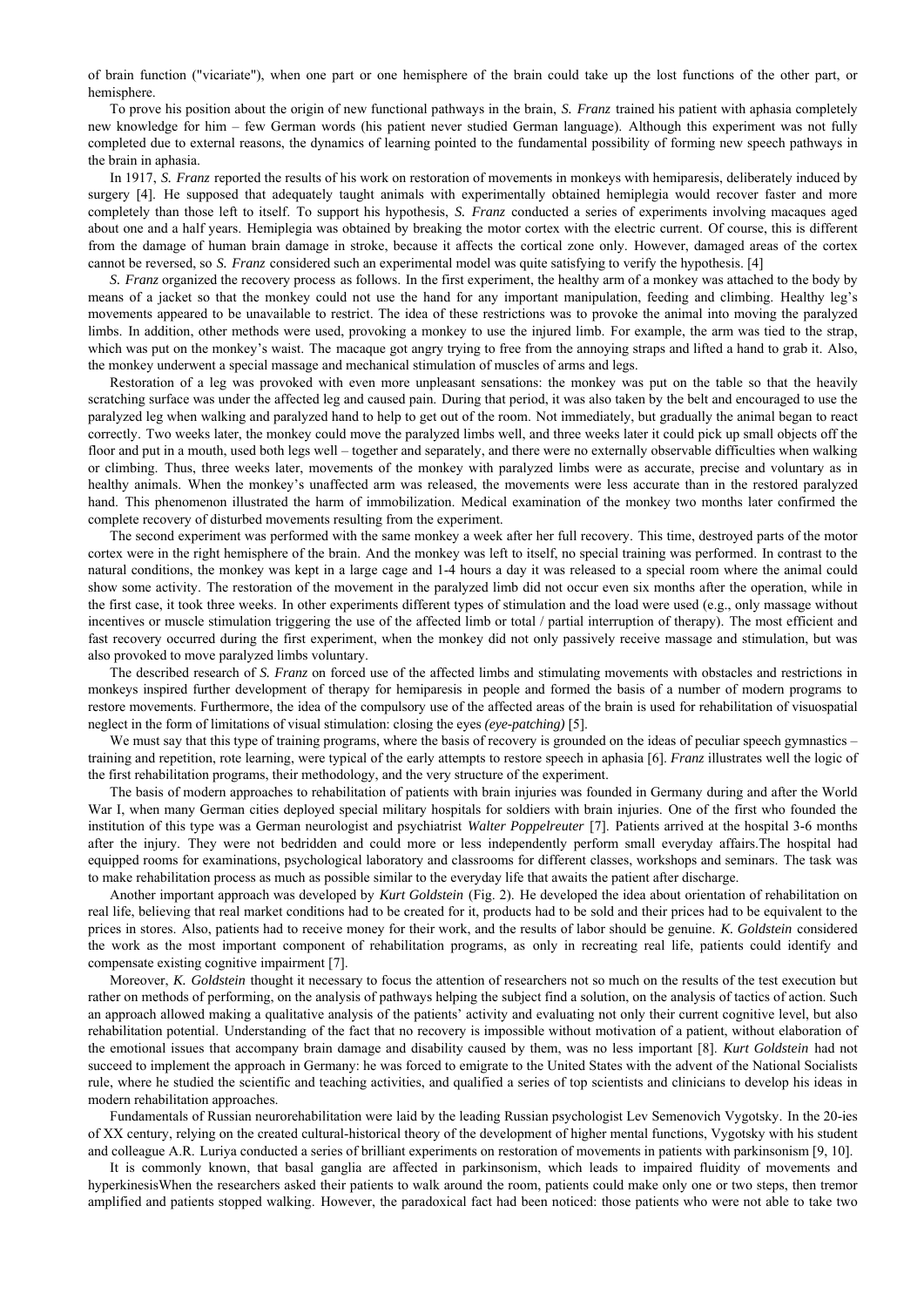of brain function ("vicariate"), when one part or one hemisphere of the brain could take up the lost functions of the other part, or hemisphere. To prove his position about the origin of new functional pathways in the brain, *S. Franz* trained his patient with aphasia completely

new knowledge for him – few German words (his patient never studied German language). Although this experiment was not fully completed due to external reasons, the dynamics of learning pointed to the fundamental possibility of forming new speech pathways in the brain in aphasia. In 1917, *S. Franz* reported the results of his work on restoration of movements in monkeys with hemiparesis, deliberately induced by

surgery [4]. He supposed that adequately taught animals with experimentally obtained hemiplegia would recover faster and more completely than those left to itself. To support his hypothesis, *S. Franz* conducted a series of experiments involving macaques aged about one and a half years. Hemiplegia was obtained by breaking the motor cortex with the electric current. Of course, this is different from the damage of human brain damage in stroke, because it affects the cortical zone only. However, damaged areas of the cortex cannot be reversed, so *S. Franz* considered such an experimental model was quite satisfying to verify the hypothesis. [4]

*S. Franz* organized the recovery process as follows. In the first experiment, the healthy arm of a monkey was attached to the body by means of a jacket so that the monkey could not use the hand for any important manipulation, feeding and climbing. Healthy leg's movements appeared to be unavailable to restrict. The idea of these restrictions was to provoke the animal into moving the paralyzed limbs. In addition, other methods were used, provoking a monkey to use the injured limb. For example, the arm was tied to the strap, which was put on the monkey's waist. The macaque got angry trying to free from the annoying straps and lifted a hand to grab it. Also, the monkey underwent a special massage and mechanical stimulation of muscles of arms and legs. Restoration of a leg was provoked with even more unpleasant sensations: the monkey was put on the table so that the heavily

scratching surface was under the affected leg and caused pain. During that period, it was also taken by the belt and encouraged to use the paralyzed leg when walking and paralyzed hand to help to get out of the room. Not immediately, but gradually the animal began to react correctly. Two weeks later, the monkey could move the paralyzed limbs well, and three weeks later it could pick up small objects off the floor and put in a mouth, used both legs well – together and separately, and there were no externally observable difficulties when walking or climbing. Thus, three weeks later, movements of the monkey with paralyzed limbs were as accurate, precise and voluntary as in healthy animals. When the monkey's unaffected arm was released, the movements were less accurate than in the restored paralyzed hand. This phenomenon illustrated the harm of immobilization. Medical examination of the monkey two months later confirmed the complete recovery of disturbed movements resulting from the experiment. The second experiment was performed with the same monkey a week after her full recovery. This time, destroyed parts of the motor

cortex were in the right hemisphere of the brain. And the monkey was left to itself, no special training was performed. In contrast to the natural conditions, the monkey was kept in a large cage and 1-4 hours a day it was released to a special room where the animal could show some activity. The restoration of the movement in the paralyzed limb did not occur even six months after the operation, while in the first case, it took three weeks. In other experiments different types of stimulation and the load were used (e.g., only massage without incentives or muscle stimulation triggering the use of the affected limb or total / partial interruption of therapy). The most efficient and fast recovery occurred during the first experiment, when the monkey did not only passively receive massage and stimulation, but was also provoked to move paralyzed limbs voluntary. The described research of *S. Franz* on forced use of the affected limbs and stimulating movements with obstacles and restrictions in

monkeys inspired further development of therapy for hemiparesis in people and formed the basis of a number of modern programs to restore movements. Furthermore, the idea of the compulsory use of the affected areas of the brain is used for rehabilitation of visuospatial neglect in the form of limitations of visual stimulation: closing the eyes *(eye-patching)* [5].

We must say that this type of training programs, where the basis of recovery is grounded on the ideas of peculiar speech gymnastics – training and repetition, rote learning, were typical of the early attempts to restore speech in aphasia [6]. *Franz* illustrates well the logic of the first rehabilitation programs, their methodology, and the very structure of the experiment.

The basis of modern approaches to rehabilitation of patients with brain injuries was founded in Germany during and after the World War I, when many German cities deployed special military hospitals for soldiers with brain injuries. One of the first who founded the institution of this type was a German neurologist and psychiatrist *Walter Poppelreuter* [7]. Patients arrived at the hospital 3-6 months after the injury. They were not bedridden and could more or less independently perform small everyday affairs.The hospital had equipped rooms for examinations, psychological laboratory and classrooms for different classes, workshops and seminars. The task was to make rehabilitation process as much as possible similar to the everyday life that awaits the patient after discharge.<br>Another important approach was developed by *Kurt Goldstein* (Fig. 2). He developed the idea about or

real life, believing that real market conditions had to be created for it, products had to be sold and their prices had to be equivalent to the prices in stores. Also, patients had to receive money for their work, and the results of labor should be genuine. *K. Goldstein* considered the work as the most important component of rehabilitation programs, as only in recreating real life, patients could identify and compensate existing cognitive impairment [7]. Moreover, *K. Goldstein* thought it necessary to focus the attention of researchers not so much on the results of the test execution but

rather on methods of performing, on the analysis of pathways helping the subject find a solution, on the analysis of tactics of action. Such an approach allowed making a qualitative analysis of the patients' activity and evaluating not only their current cognitive level, but also rehabilitation potential. Understanding of the fact that no recovery is impossible without motivation of a patient, without elaboration of the emotional issues that accompany brain damage and disability caused by them, was no less important [8]. *Kurt Goldstein* had not succeed to implement the approach in Germany: he was forced to emigrate to the United States with the advent of the National Socialists rule, where he studied the scientific and teaching activities, and qualified a series of top scientists and clinicians to develop his ideas in modern rehabilitation approaches.<br>Fundamentals of Russian neurorehabilitation were laid by the leading Russian psychologist Lev Semenovich Vygotsky. In the 20-ies

of XX century, relying on the created cultural-historical theory of the development of higher mental functions, Vygotsky with his student and colleague A.R. Luriya conducted a series of brilliant experiments on restoration of movements in patients with parkinsonism [9, 10].<br>It is commonly known, that basal ganglia are affected in parkinsonism, which leads to

hyperkinesisWhen the researchers asked their patients to walk around the room, patients could make only one or two steps, then tremor amplified and patients stopped walking. However, the paradoxical fact had been noticed: those patients who were not able to take two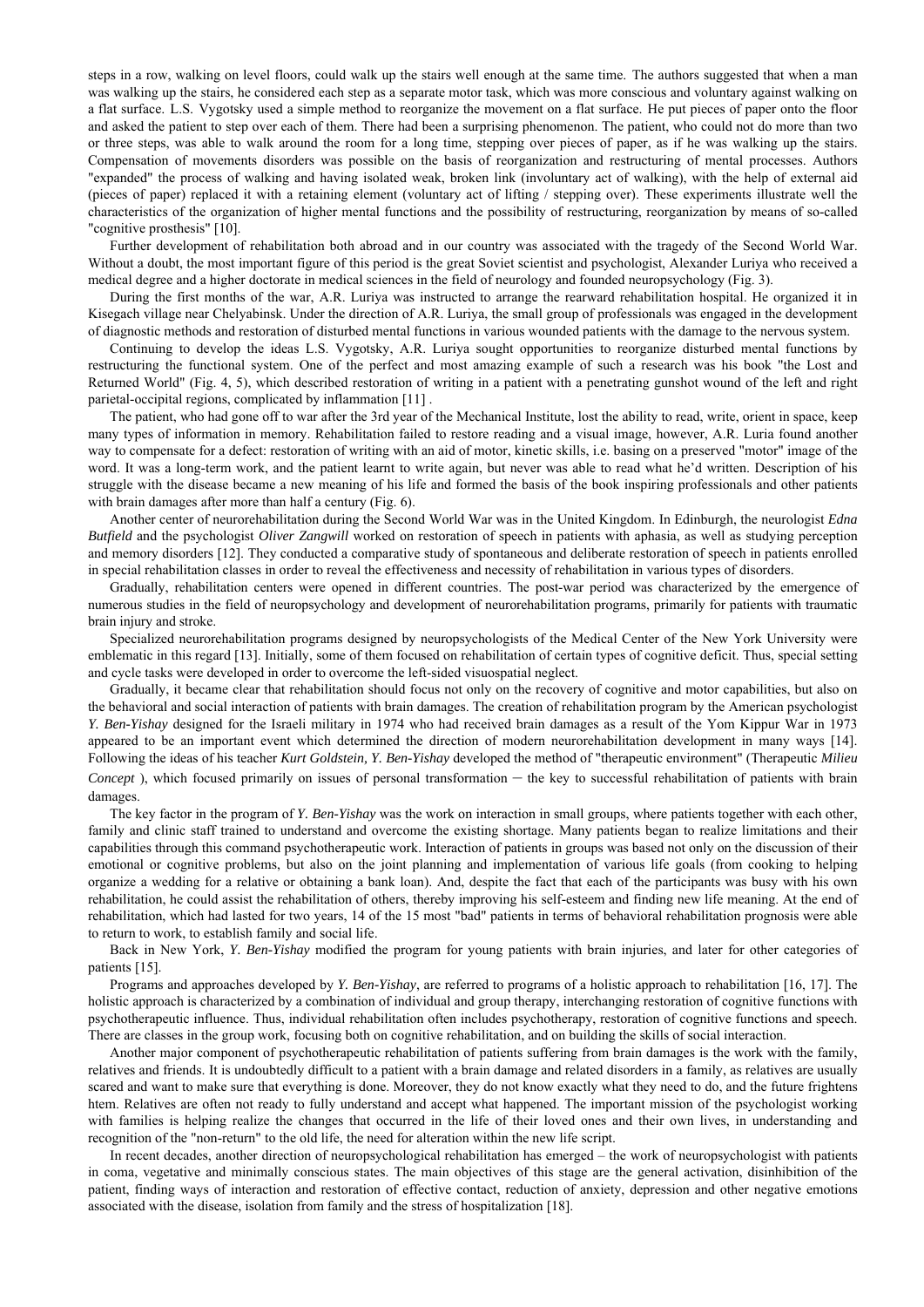steps in a row, walking on level floors, could walk up the stairs well enough at the same time. The authors suggested that when a man was walking up the stairs, he considered each step as a separate motor task, which was more conscious and voluntary against walking on a flat surface. L.S. Vygotsky used a simple method to reorganize the movement on a flat surface. He put pieces of paper onto the floor and asked the patient to step over each of them. There had been a surprising phenomenon. The patient, who could not do more than two or three steps, was able to walk around the room for a long time, stepping over pieces of paper, as if he was walking up the stairs. Compensation of movements disorders was possible on the basis of reorganization and restructuring of mental processes. Authors "expanded" the process of walking and having isolated weak, broken link (involuntary act of walking), with the help of external aid (pieces of paper) replaced it with a retaining element (voluntary act of lifting / stepping over). These experiments illustrate well the characteristics of the organization of higher mental functions and the possibility of restructuring, reorganization by means of so-called

"cognitive prosthesis" [10]. Further development of rehabilitation both abroad and in our country was associated with the tragedy of the Second World War. Without a doubt, the most important figure of this period is the great Soviet scientist and psychologist, Alexander Luriya who received a medical degree and a higher doctorate in medical sciences in the field of neurology and founded neuropsychology (Fig. 3).<br>During the first months of the war, A.R. Luriya was instructed to arrange the rearward rehabilitatio

Kisegach village near Chelyabinsk. Under the direction of A.R. Luriya, the small group of professionals was engaged in the development of diagnostic methods and restoration of disturbed mental functions in various wounded patients with the damage to the nervous system.<br>Continuing to develop the ideas L.S. Vygotsky, A.R. Luriya sought opportunities to reor

restructuring the functional system. One of the perfect and most amazing example of such a research was his book "the Lost and Returned World" (Fig. 4, 5), which described restoration of writing in a patient with a penetrating gunshot wound of the left and right parietal-occipital regions, complicated by inflammation [11].<br>The patient, who had gone off to war after the 3rd year of the Mechanical Institute, lost the ability to read, write, orient in space, keep

many types of information in memory. Rehabilitation failed to restore reading and a visual image, however, A.R. Luria found another way to compensate for a defect: restoration of writing with an aid of motor, kinetic skills, i.e. basing on a preserved "motor" image of the word. It was a long-term work, and the patient learnt to write again, but never was able to read what he'd written. Description of his struggle with the disease became a new meaning of his life and formed the basis of the book inspiring professionals and other patients with brain damages after more than half a century (Fig. 6).<br>Another center of neurorehabilitation during the Second World War was in the United Kingdom. In Edinburgh, the neurologist *Edna* 

*Butfield* and the psychologist *Oliver Zangwill* worked on restoration of speech in patients with aphasia, as well as studying perception and memory disorders [12]. They conducted a comparative study of spontaneous and deliberate restoration of speech in patients enrolled in special rehabilitation classes in order to reveal the effectiveness and necessity of rehabilitation in various types of disorders.<br>Gradually, rehabilitation centers were opened in different countries. The post-war perio

numerous studies in the field of neuropsychology and development of neurorehabilitation programs, primarily for patients with traumatic brain injury and stroke. Specialized neurorehabilitation programs designed by neuropsychologists of the Medical Center of the New York University were

emblematic in this regard [13]. Initially, some of them focused on rehabilitation of certain types of cognitive deficit. Thus, special setting and cycle tasks were developed in order to overcome the left-sided visuospatial neglect. Gradually, it became clear that rehabilitation should focus not only on the recovery of cognitive and motor capabilities, but also on

the behavioral and social interaction of patients with brain damages. The creation of rehabilitation program by the American psychologist *Y. Ben-Yishay* designed for the Israeli military in 1974 who had received brain damages as a result of the Yom Kippur War in 1973 appeared to be an important event which determined the direction of modern neurorehabilitation development in many ways [14]. Following the ideas of his teacher *Kurt Goldstein, Y. Ben-Yishay* developed the method of "therapeutic environment" (Therapeutic *Milieu Concept*), which focused primarily on issues of personal transformation – the key to successful rehabilitation of patients with brain

damages. The key factor in the program of *Y. Ben-Yishay* was the work on interaction in small groups, where patients together with each other, family and clinic staff trained to understand and overcome the existing shortage. Many patients began to realize limitations and their capabilities through this command psychotherapeutic work. Interaction of patients in groups was based not only on the discussion of their emotional or cognitive problems, but also on the joint planning and implementation of various life goals (from cooking to helping organize a wedding for a relative or obtaining a bank loan). And, despite the fact that each of the participants was busy with his own rehabilitation, he could assist the rehabilitation of others, thereby improving his self-esteem and finding new life meaning. At the end of rehabilitation, which had lasted for two years, 14 of the 15 most "bad" patients in terms of behavioral rehabilitation prognosis were able to return to work, to establish family and social life.<br>Back in New York, *Y. Ben-Yishay* modified the program for young patients with brain injuries, and later for other categories of

patients [15]. Programs and approaches developed by *Y. Ben-Yishay*, are referred to programs of a holistic approach to rehabilitation [16, 17]. The

holistic approach is characterized by a combination of individual and group therapy, interchanging restoration of cognitive functions with psychotherapeutic influence. Thus, individual rehabilitation often includes psychotherapy, restoration of cognitive functions and speech. There are classes in the group work, focusing both on cognitive rehabilitation, and on building the skills of social interaction.<br>Another major component of psychotherapeutic rehabilitation of patients suffering from brain

relatives and friends. It is undoubtedly difficult to a patient with a brain damage and related disorders in a family, as relatives are usually scared and want to make sure that everything is done. Moreover, they do not know exactly what they need to do, and the future frightens htem. Relatives are often not ready to fully understand and accept what happened. The important mission of the psychologist working with families is helping realize the changes that occurred in the life of their loved ones and their own lives, in understanding and recognition of the "non-return" to the old life, the need for alteration within the new life script.<br>In recent decades, another direction of neuropsychological rehabilitation has emerged – the work of neuropsychologist wit

in coma, vegetative and minimally conscious states. The main objectives of this stage are the general activation, disinhibition of the patient, finding ways of interaction and restoration of effective contact, reduction of anxiety, depression and other negative emotions associated with the disease, isolation from family and the stress of hospitalization [18].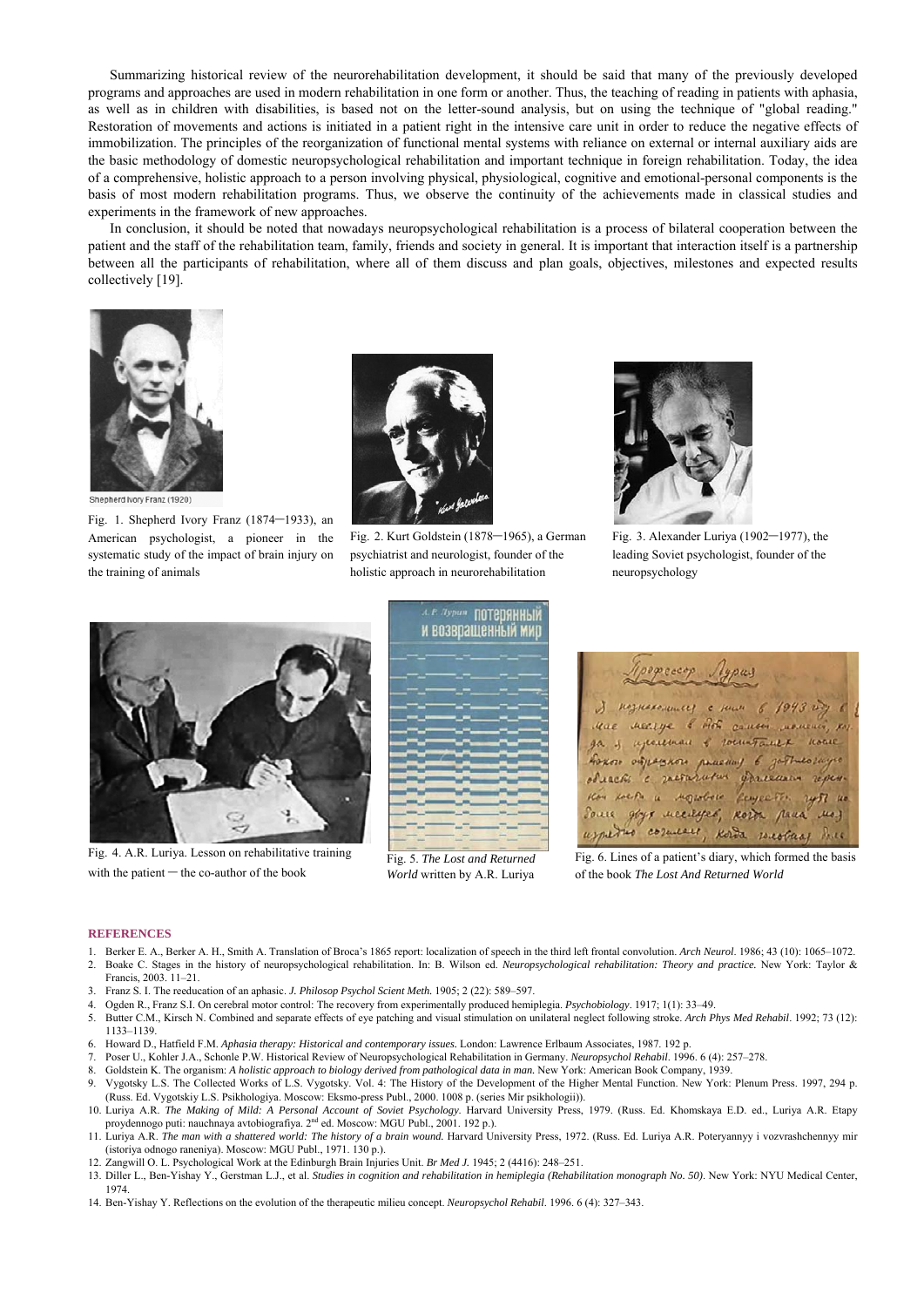Summarizing historical review of the neurorehabilitation development, it should be said that many of the previously developed programs and approaches are used in modern rehabilitation in one form or another. Thus, the teaching of reading in patients with aphasia, as well as in children with disabilities, is based not on the letter-sound analysis, but on using the technique of "global reading." Restoration of movements and actions is initiated in a patient right in the intensive care unit in order to reduce the negative effects of immobilization. The principles of the reorganization of functional mental systems with reliance on external or internal auxiliary aids are the basic methodology of domestic neuropsychological rehabilitation and important technique in foreign rehabilitation. Today, the idea of a comprehensive, holistic approach to a person involving physical, physiological, cognitive and emotional-personal components is the basis of most modern rehabilitation programs. Thus, we observe the continuity of the achievements made in classical studies and experiments in the framework of new approaches. In conclusion, it should be noted that nowadays neuropsychological rehabilitation is a process of bilateral cooperation between the

patient and the staff of the rehabilitation team, family, friends and society in general. It is important that interaction itself is a partnership between all the participants of rehabilitation, where all of them discuss and plan goals, objectives, milestones and expected results collectively [19].



Shepherd Ivory Franz (1920)

Fig. 1. Shepherd Ivory Franz (1874–1933), an American psychologist, a pioneer in the systematic study of the impact of brain injury on the training of animals



Fig. 2. Kurt Goldstein (1878–1965), a German psychiatrist and neurologist, founder of the holistic approach in neurorehabilitation



Fig. 3. Alexander Luriya (1902–1977), the leading Soviet psychologist, founder of the neuropsychology



Fig. 4. A.R. Luriya. Lesson on rehabilitative training with the patient – the co-author of the book



Fig. 5. *The Lost and Returned World* written by A.R. Luriya



Fig. 6. Lines of a patient's diary, which formed the basis of the book *The Lost And Returned World*

## **REFERENCES**

- 1. Berker E. A., Berker A. H., Smith A. Translation of Broca's 1865 report: localization of speech in the third left frontal convolution. *Arch Neurol*. 1986; 43 (10): 1065–1072. 2. Boake C. Stages in the history of neuropsychological rehabilitation. In: B. Wilson ed. *Neuropsychological rehabilitation: Theory and practice.* New York: Taylor & Francis, 2003. 11–21.
- 3. Franz S. I. The reeducation of an aphasic. *J. Philosop Psychol Scient Meth.* 1905; 2 (22): 589–597.
- 4. Ogden R., Franz S.I. On cerebral motor control: The recovery from experimentally produced hemiplegia. *Psychobiology*. 1917; 1(1): 33–49.
- 5. Butter C.M., Kirsch N. Combined and separate effects of eye patching and visual stimulation on unilateral neglect following stroke. *Arch Phys Med Rehabil*. 1992; 73 (12): 1133–1139.
- 6. Howard D., Hatfield F.M. *Aphasia therapy: Historical and contemporary issues.* London: Lawrence Erlbaum Associates, 1987. 192 p.
- 7. Poser U., Kohler J.A., Schonle P.W. Historical Review of Neuropsychological Rehabilitation in Germany. *Neuropsychol Rehabil*. 1996. 6 (4): 257–278.
- 8. Goldstein K. The organism: *A holistic approach to biology derived from pathological data in man.* New York: American Book Company, 1939.
- 9. Vygotsky L.S. The Collected Works of L.S. Vygotsky. Vol. 4: The History of the Development of the Higher Mental Function. New York: Plenum Press. 1997, 294 p. (Russ. Ed. Vygotskiy L.S. Psikhologiya. Moscow: Eksmo-press Publ., 2000. 1008 p. (series Mir psikhologii)).
- 10. Luriya A.R. *The Making of Mild: A Personal Account of Soviet Psychology*. Harvard University Press, 1979. (Russ. Ed. Khomskaya E.D. ed., Luriya A.R. Etapy proydennogo puti: nauchnaya avtobiografiya. 2nd ed. Moscow: MGU Publ., 2001. 192 p.).
- 11. Luriya A.R. The man with a shattered world: The history of a brain wound. Harvard University Press, 1972. (Russ. Ed. Luriya A.R. Poteryannyy i vozvrashchennyy mir (istoriya odnogo raneniya). Moscow: MGU Publ., 1971. 130 p.).
- 12. Zangwill O. L. Psychological Work at the Edinburgh Brain Injuries Unit. *Br Med J.* 1945; 2 (4416): 248–251.
- 13. Diller L., Ben-Yishay Y., Gerstman L.J., et al. *Studies in cognition and rehabilitation in hemiplegia (Rehabilitation monograph No. 50)*. New York: NYU Medical Center, 1974.
- 14. Ben-Yishay Y. Reflections on the evolution of the therapeutic milieu concept. *Neuropsychol Rehabil*. 1996. 6 (4): 327–343.